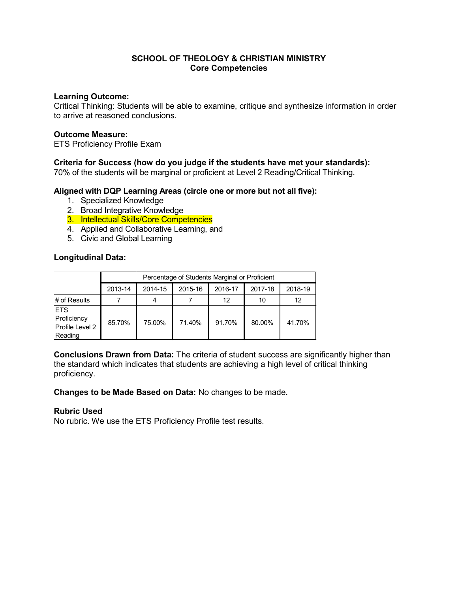## **Learning Outcome:**

Critical Thinking: Students will be able to examine, critique and synthesize information in order to arrive at reasoned conclusions.

#### **Outcome Measure:**

ETS Proficiency Profile Exam

## **Criteria for Success (how do you judge if the students have met your standards):**

70% of the students will be marginal or proficient at Level 2 Reading/Critical Thinking.

## **Aligned with DQP Learning Areas (circle one or more but not all five):**

- 1. Specialized Knowledge
- 2. Broad Integrative Knowledge
- 3. Intellectual Skills/Core Competencies
- 4. Applied and Collaborative Learning, and
- 5. Civic and Global Learning

## **Longitudinal Data:**

|                                                         | Percentage of Students Marginal or Proficient |         |         |         |         |         |
|---------------------------------------------------------|-----------------------------------------------|---------|---------|---------|---------|---------|
|                                                         | 2013-14                                       | 2014-15 | 2015-16 | 2016-17 | 2017-18 | 2018-19 |
| # of Results                                            |                                               | 4       |         | 12      | 10      | 12      |
| <b>ETS</b><br>Proficiency<br>Profile Level 2<br>Reading | 85.70%                                        | 75.00%  | 71.40%  | 91.70%  | 80.00%  | 41.70%  |

**Conclusions Drawn from Data:** The criteria of student success are significantly higher than the standard which indicates that students are achieving a high level of critical thinking proficiency.

**Changes to be Made Based on Data:** No changes to be made.

## **Rubric Used**

No rubric. We use the ETS Proficiency Profile test results.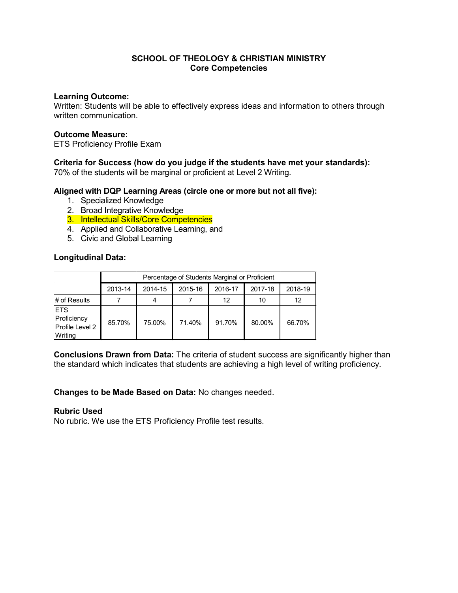## **Learning Outcome:**

Written: Students will be able to effectively express ideas and information to others through written communication.

## **Outcome Measure:**

ETS Proficiency Profile Exam

## **Criteria for Success (how do you judge if the students have met your standards):**

70% of the students will be marginal or proficient at Level 2 Writing.

# **Aligned with DQP Learning Areas (circle one or more but not all five):**

- 1. Specialized Knowledge
- 2. Broad Integrative Knowledge
- 3. Intellectual Skills/Core Competencies
- 4. Applied and Collaborative Learning, and
- 5. Civic and Global Learning

## **Longitudinal Data:**

|                                                         | Percentage of Students Marginal or Proficient |         |         |         |         |         |
|---------------------------------------------------------|-----------------------------------------------|---------|---------|---------|---------|---------|
|                                                         | 2013-14                                       | 2014-15 | 2015-16 | 2016-17 | 2017-18 | 2018-19 |
| # of Results                                            |                                               | 4       |         | 12      | 10      | 12      |
| <b>ETS</b><br>Proficiency<br>Profile Level 2<br>Writing | 85.70%                                        | 75.00%  | 71.40%  | 91.70%  | 80.00%  | 66.70%  |

**Conclusions Drawn from Data:** The criteria of student success are significantly higher than the standard which indicates that students are achieving a high level of writing proficiency.

**Changes to be Made Based on Data:** No changes needed.

## **Rubric Used**

No rubric. We use the ETS Proficiency Profile test results.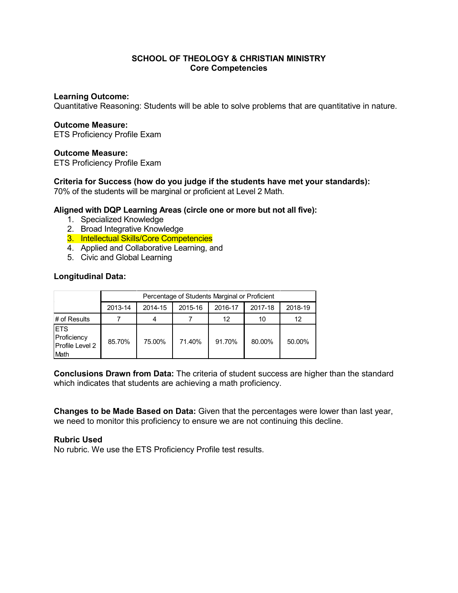## **Learning Outcome:**

Quantitative Reasoning: Students will be able to solve problems that are quantitative in nature.

#### **Outcome Measure:**

ETS Proficiency Profile Exam

## **Outcome Measure:**

ETS Proficiency Profile Exam

## **Criteria for Success (how do you judge if the students have met your standards):**

70% of the students will be marginal or proficient at Level 2 Math.

## **Aligned with DQP Learning Areas (circle one or more but not all five):**

- 1. Specialized Knowledge
- 2. Broad Integrative Knowledge
- 3. Intellectual Skills/Core Competencies
- 4. Applied and Collaborative Learning, and
- 5. Civic and Global Learning

## **Longitudinal Data:**

|                                                       | Percentage of Students Marginal or Proficient |         |         |         |         |         |  |
|-------------------------------------------------------|-----------------------------------------------|---------|---------|---------|---------|---------|--|
|                                                       | 2013-14                                       | 2014-15 | 2015-16 | 2016-17 | 2017-18 | 2018-19 |  |
| # of Results                                          |                                               | 4       |         | 12      | 10      | 12      |  |
| <b>IETS</b><br>Proficiency<br>Profile Level 2<br>Math | 85.70%                                        | 75.00%  | 71.40%  | 91.70%  | 80.00%  | 50.00%  |  |

**Conclusions Drawn from Data:** The criteria of student success are higher than the standard which indicates that students are achieving a math proficiency.

**Changes to be Made Based on Data:** Given that the percentages were lower than last year, we need to monitor this proficiency to ensure we are not continuing this decline.

## **Rubric Used**

No rubric. We use the ETS Proficiency Profile test results.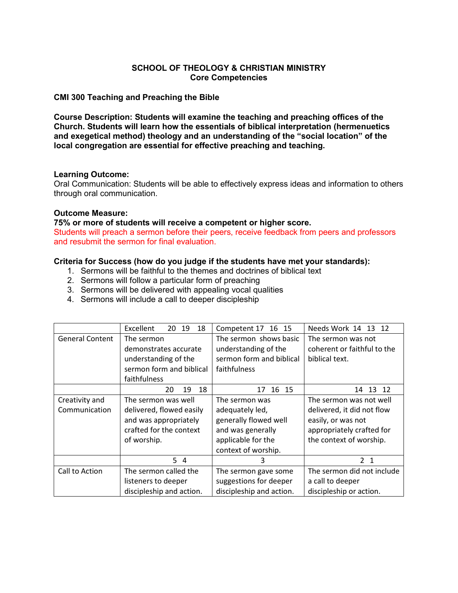## **CMI 300 Teaching and Preaching the Bible**

**Course Description: Students will examine the teaching and preaching offices of the Church. Students will learn how the essentials of biblical interpretation (hermenuetics and exegetical method) theology and an understanding of the "social location" of the local congregation are essential for effective preaching and teaching.** 

## **Learning Outcome:**

Oral Communication: Students will be able to effectively express ideas and information to others through oral communication.

## **Outcome Measure:**

## **75% or more of students will receive a competent or higher score.**

Students will preach a sermon before their peers, receive feedback from peers and professors and resubmit the sermon for final evaluation.

# **Criteria for Success (how do you judge if the students have met your standards):**

- 1. Sermons will be faithful to the themes and doctrines of biblical text
- 2. Sermons will follow a particular form of preaching
- 3. Sermons will be delivered with appealing vocal qualities
- 4. Sermons will include a call to deeper discipleship

|                        | Excellent<br>20 19<br>18 | Competent 17 16 15       | Needs Work 14 13 12         |  |
|------------------------|--------------------------|--------------------------|-----------------------------|--|
| <b>General Content</b> | The sermon               | The sermon shows basic   | The sermon was not          |  |
|                        | demonstrates accurate    | understanding of the     | coherent or faithful to the |  |
|                        | understanding of the     | sermon form and biblical | biblical text.              |  |
|                        | sermon form and biblical | faithfulness             |                             |  |
|                        | faithfulness             |                          |                             |  |
|                        | 18<br>20<br>19           | 16<br>15<br>17           | 13<br>12<br>14              |  |
| Creativity and         | The sermon was well      | The sermon was           | The sermon was not well     |  |
| Communication          | delivered, flowed easily | adequately led,          | delivered, it did not flow  |  |
|                        | and was appropriately    | generally flowed well    | easily, or was not          |  |
|                        | crafted for the context  | and was generally        | appropriately crafted for   |  |
|                        | of worship.              | applicable for the       | the context of worship.     |  |
|                        |                          | context of worship.      |                             |  |
|                        | $5\quad4$                | 3                        | 2 <sub>1</sub>              |  |
| Call to Action         | The sermon called the    | The sermon gave some     | The sermon did not include  |  |
|                        | listeners to deeper      | suggestions for deeper   | a call to deeper            |  |
|                        | discipleship and action. | discipleship and action. | discipleship or action.     |  |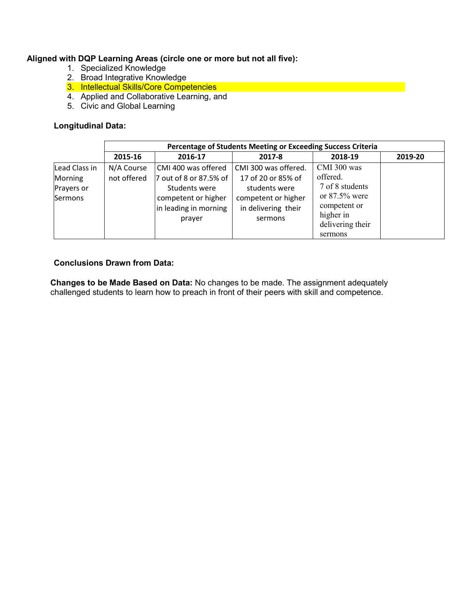# **Aligned with DQP Learning Areas (circle one or more but not all five):**

- 1. Specialized Knowledge
- 2. Broad Integrative Knowledge
- 3. Intellectual Skills/Core Competencies
- 4. Applied and Collaborative Learning, and
- 5. Civic and Global Learning

# **Longitudinal Data:**

|                                                   | Percentage of Students Meeting or Exceeding Success Criteria |                                                                                                                          |                                                                                                                      |                                                                                                                            |         |  |
|---------------------------------------------------|--------------------------------------------------------------|--------------------------------------------------------------------------------------------------------------------------|----------------------------------------------------------------------------------------------------------------------|----------------------------------------------------------------------------------------------------------------------------|---------|--|
|                                                   | 2015-16                                                      | 2016-17                                                                                                                  | 2017-8                                                                                                               | 2018-19                                                                                                                    | 2019-20 |  |
| Lead Class in<br>Morning<br>Prayers or<br>Sermons | N/A Course<br>not offered                                    | CMI 400 was offered<br>7 out of 8 or 87.5% of<br>Students were<br>competent or higher<br>in leading in morning<br>prayer | CMI 300 was offered.<br>17 of 20 or 85% of<br>students were<br>competent or higher<br>in delivering their<br>sermons | CMI 300 was<br>offered.<br>7 of 8 students<br>or $87.5\%$ were<br>competent or<br>higher in<br>delivering their<br>sermons |         |  |

# **Conclusions Drawn from Data:**

**Changes to be Made Based on Data:** No changes to be made. The assignment adequately challenged students to learn how to preach in front of their peers with skill and competence.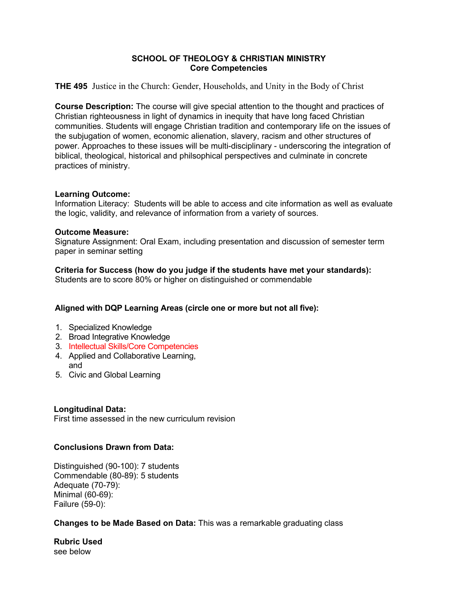**THE 495** Justice in the Church: Gender, Households, and Unity in the Body of Christ

**Course Description:** The course will give special attention to the thought and practices of Christian righteousness in light of dynamics in inequity that have long faced Christian communities. Students will engage Christian tradition and contemporary life on the issues of the subjugation of women, economic alienation, slavery, racism and other structures of power. Approaches to these issues will be multi-disciplinary - underscoring the integration of biblical, theological, historical and philsophical perspectives and culminate in concrete practices of ministry.

# **Learning Outcome:**

Information Literacy: Students will be able to access and cite information as well as evaluate the logic, validity, and relevance of information from a variety of sources.

# **Outcome Measure:**

Signature Assignment: Oral Exam, including presentation and discussion of semester term paper in seminar setting

**Criteria for Success (how do you judge if the students have met your standards):**  Students are to score 80% or higher on distinguished or commendable

# **Aligned with DQP Learning Areas (circle one or more but not all five):**

- 1. Specialized Knowledge
- 2. Broad Integrative Knowledge
- 3. Intellectual Skills/Core Competencies
- 4. Applied and Collaborative Learning, and
- 5. Civic and Global Learning

# **Longitudinal Data:**

First time assessed in the new curriculum revision

# **Conclusions Drawn from Data:**

Distinguished (90-100): 7 students Commendable (80-89): 5 students Adequate (70-79): Minimal (60-69): Failure (59-0):

# **Changes to be Made Based on Data:** This was a remarkable graduating class

**Rubric Used** see below